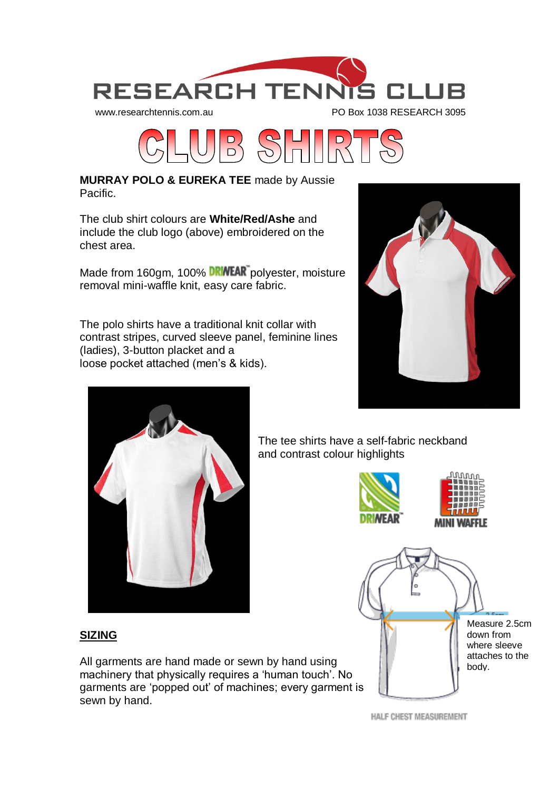



**MURRAY POLO & EUREKA TEE** made by Aussie Pacific.

The club shirt colours are **White/Red/Ashe** and include the club logo (above) embroidered on the chest area.

Made from 160gm, 100% **DRINEAR** polyester, moisture removal mini-waffle knit, easy care fabric.

The polo shirts have a traditional knit collar with contrast stripes, curved sleeve panel, feminine lines (ladies), 3-button placket and a loose pocket attached (men's & kids).





The tee shirts have a self-fabric neckband and contrast colour highlights





# **SIZING**

All garments are hand made or sewn by hand using machinery that physically requires a 'human touch'. No garments are 'popped out' of machines; every garment is sewn by hand.

HALF CHEST MEASUREMENT